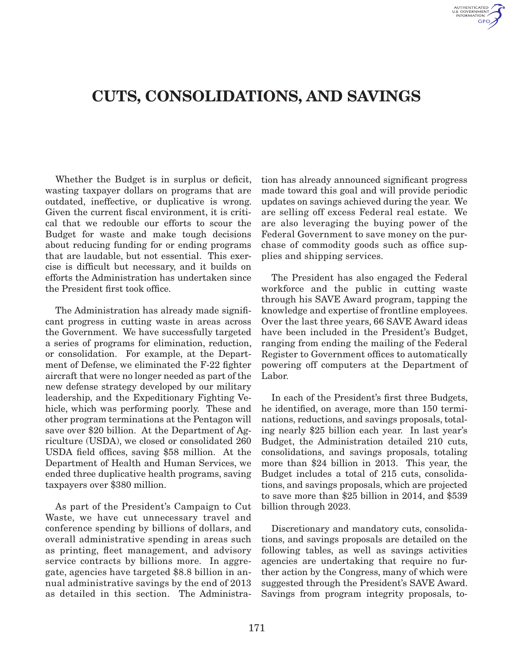

# Cuts, Consolidations, and Savings

Whether the Budget is in surplus or deficit, wasting taxpayer dollars on programs that are outdated, ineffective, or duplicative is wrong. Given the current fiscal environment, it is critical that we redouble our efforts to scour the Budget for waste and make tough decisions about reducing funding for or ending programs that are laudable, but not essential. This exercise is difficult but necessary, and it builds on efforts the Administration has undertaken since the President first took office.

The Administration has already made significant progress in cutting waste in areas across the Government. We have successfully targeted a series of programs for elimination, reduction, or consolidation. For example, at the Department of Defense, we eliminated the F-22 fighter aircraft that were no longer needed as part of the new defense strategy developed by our military leadership, and the Expeditionary Fighting Vehicle, which was performing poorly. These and other program terminations at the Pentagon will save over \$20 billion. At the Department of Agriculture (USDA), we closed or consolidated 260 USDA field offices, saving \$58 million. At the Department of Health and Human Services, we ended three duplicative health programs, saving taxpayers over \$380 million.

As part of the President's Campaign to Cut Waste, we have cut unnecessary travel and conference spending by billions of dollars, and overall administrative spending in areas such as printing, fleet management, and advisory service contracts by billions more. In aggregate, agencies have targeted \$8.8 billion in annual administrative savings by the end of 2013 as detailed in this section. The Administration has already announced significant progress made toward this goal and will provide periodic updates on savings achieved during the year. We are selling off excess Federal real estate. We are also leveraging the buying power of the Federal Government to save money on the purchase of commodity goods such as office supplies and shipping services.

The President has also engaged the Federal workforce and the public in cutting waste through his SAVE Award program, tapping the knowledge and expertise of frontline employees. Over the last three years, 66 SAVE Award ideas have been included in the President's Budget, ranging from ending the mailing of the Federal Register to Government offices to automatically powering off computers at the Department of Labor.

In each of the President's first three Budgets, he identified, on average, more than 150 terminations, reductions, and savings proposals, totaling nearly \$25 billion each year. In last year's Budget, the Administration detailed 210 cuts, consolidations, and savings proposals, totaling more than \$24 billion in 2013. This year, the Budget includes a total of 215 cuts, consolidations, and savings proposals, which are projected to save more than \$25 billion in 2014, and \$539 billion through 2023.

Discretionary and mandatory cuts, consolidations, and savings proposals are detailed on the following tables, as well as savings activities agencies are undertaking that require no further action by the Congress, many of which were suggested through the President's SAVE Award. Savings from program integrity proposals, to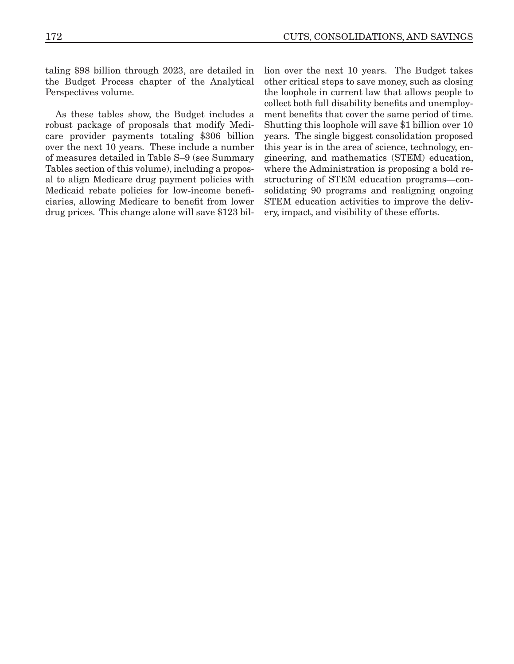taling \$98 billion through 2023, are detailed in the Budget Process chapter of the Analytical Perspectives volume.

As these tables show, the Budget includes a robust package of proposals that modify Medicare provider payments totaling \$306 billion over the next 10 years. These include a number of measures detailed in Table S–9 (see Summary Tables section of this volume), including a proposal to align Medicare drug payment policies with Medicaid rebate policies for low-income beneficiaries, allowing Medicare to benefit from lower drug prices. This change alone will save \$123 billion over the next 10 years. The Budget takes other critical steps to save money, such as closing the loophole in current law that allows people to collect both full disability benefits and unemployment benefits that cover the same period of time. Shutting this loophole will save \$1 billion over 10 years. The single biggest consolidation proposed this year is in the area of science, technology, engineering, and mathematics (STEM) education, where the Administration is proposing a bold restructuring of STEM education programs—consolidating 90 programs and realigning ongoing STEM education activities to improve the delivery, impact, and visibility of these efforts.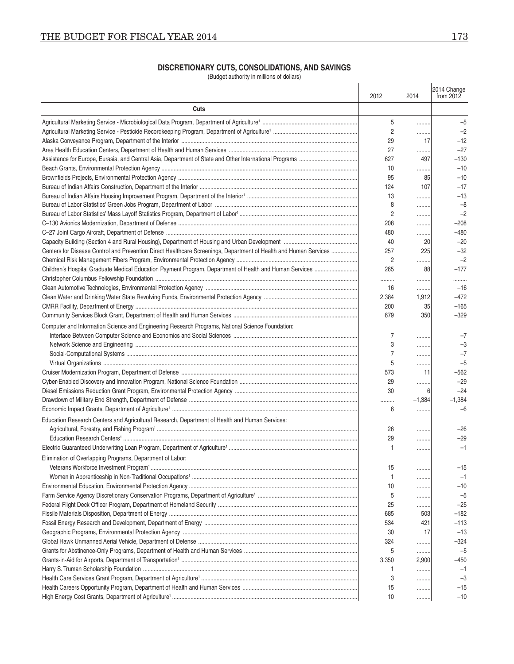| DISCRETIONARY CUTS, CONSOLIDATIONS, AND SAVINGS |  |  |  |  |  |
|-------------------------------------------------|--|--|--|--|--|
|-------------------------------------------------|--|--|--|--|--|

(Budget authority in millions of dollars)

|                                                                                                                  | 2012           | 2014         | 2014 Change<br>from 2012 |
|------------------------------------------------------------------------------------------------------------------|----------------|--------------|--------------------------|
| Cuts                                                                                                             |                |              |                          |
|                                                                                                                  | 5              |              | $-5$                     |
|                                                                                                                  | $\overline{2}$ | .            | $-2$                     |
|                                                                                                                  | 29             | 17           | $-12$                    |
|                                                                                                                  | 27             | .            | $-27$                    |
|                                                                                                                  | 627            | 497          | $-130$                   |
|                                                                                                                  | 10             | .            | $-10$                    |
|                                                                                                                  | 95             | 85           | $-10$                    |
|                                                                                                                  | 124            | 107          | $-17$                    |
|                                                                                                                  | 13             | .            | $-13$                    |
|                                                                                                                  | 8              | .            | $-8$                     |
|                                                                                                                  | $\overline{2}$ | .            | $-2$                     |
|                                                                                                                  | 208            | .            | $-208$                   |
|                                                                                                                  | 480            | .            | $-480$                   |
|                                                                                                                  | 40             | 20           | $-20$                    |
| Centers for Disease Control and Prevention Direct Healthcare Screenings, Department of Health and Human Services | 257            | 225          | $-32$                    |
|                                                                                                                  | $\overline{2}$ | .            | $-2$                     |
| Children's Hospital Graduate Medical Education Payment Program, Department of Health and Human Services          | 265            | 88           | $-177$                   |
|                                                                                                                  |                | .            |                          |
|                                                                                                                  | 16             | .            | $-16$                    |
|                                                                                                                  | 2,384          | 1,912        | $-472$                   |
|                                                                                                                  | 200            | 35           | $-165$                   |
|                                                                                                                  | 679            | 350          | $-329$                   |
| Computer and Information Science and Engineering Research Programs, National Science Foundation:                 |                |              |                          |
|                                                                                                                  |                | .            | $-7$                     |
|                                                                                                                  |                |              | $-3$                     |
|                                                                                                                  |                | .            | $-7$                     |
|                                                                                                                  |                | .            | $-5$                     |
|                                                                                                                  | 573            | 11           | $-562$                   |
|                                                                                                                  | 29<br>30       | .            | $-29$                    |
|                                                                                                                  |                | 6            | $-24$                    |
|                                                                                                                  | <br>6          | $-1,384$<br> | $-1,384$<br>$-6$         |
| Education Research Centers and Agricultural Research, Department of Health and Human Services:                   |                |              |                          |
|                                                                                                                  | 26             |              | $-26$                    |
|                                                                                                                  | 29             | .            | $-29$                    |
|                                                                                                                  |                | .            | $-1$                     |
| Elimination of Overlapping Programs, Department of Labor:                                                        |                |              |                          |
|                                                                                                                  | 15             |              | -15                      |
|                                                                                                                  |                | .            | $-1$                     |
|                                                                                                                  | 10             | .            | $-10$                    |
|                                                                                                                  | 5              | .            | $-5$                     |
|                                                                                                                  | 25             | .            | $-25$                    |
|                                                                                                                  | 685            | 503          | $-182$                   |
|                                                                                                                  | 534            | 421          | $-113$                   |
|                                                                                                                  | 30             | 17           | $-13$                    |
|                                                                                                                  | 324            | .            | -324                     |
|                                                                                                                  | 5              | .            | $-5$                     |
|                                                                                                                  | 3,350          | 2,900        | -450                     |
|                                                                                                                  |                | .            | $-1$                     |
|                                                                                                                  |                | .            | $-3$                     |
|                                                                                                                  | 15             | .            | $-15$                    |
|                                                                                                                  | 10             | .            | $-10$                    |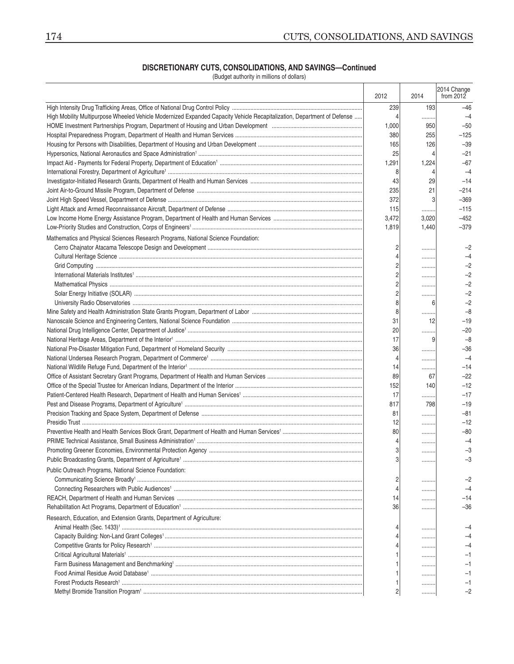### **Discretionary Cuts, Consolidations, and Savings—Continued**

(Budget authority in millions of dollars)

|                                                                                                                         | 2012           | 2014     | 2014 Change<br>from $2012$ |
|-------------------------------------------------------------------------------------------------------------------------|----------------|----------|----------------------------|
|                                                                                                                         | 239            | 193      | -46                        |
| High Mobility Multipurpose Wheeled Vehicle Modernized Expanded Capacity Vehicle Recapitalization, Department of Defense | 4              | .        | $-4$                       |
|                                                                                                                         | 1,000          | 950      | $-50$                      |
|                                                                                                                         | 380            | 255      | $-125$                     |
|                                                                                                                         | 165            | 126      | $-39$                      |
|                                                                                                                         | 25             | 4        | $-21$                      |
|                                                                                                                         | 1,291          | 1,224    | $-67$                      |
|                                                                                                                         | 8              | 4        | $-4$                       |
|                                                                                                                         | 43             | 29       | $-14$                      |
|                                                                                                                         | 235            | 21       | $-214$                     |
|                                                                                                                         | 372            | 3        | $-369$                     |
|                                                                                                                         | 115            |          | $-115$                     |
|                                                                                                                         | 3,472          | 3,020    | $-452$                     |
|                                                                                                                         | 1,819          | 1,440    | $-379$                     |
| Mathematics and Physical Sciences Research Programs, National Science Foundation:                                       |                |          |                            |
|                                                                                                                         | 2              |          | -2                         |
|                                                                                                                         |                | .        | $-4$                       |
|                                                                                                                         |                |          | -2                         |
|                                                                                                                         | 2              | .        | -2                         |
|                                                                                                                         | $\overline{c}$ |          | $-2$                       |
|                                                                                                                         | $\overline{c}$ | .        | $-2$                       |
|                                                                                                                         | 8              | 6        | $-2$                       |
|                                                                                                                         | 8              |          | $-8$                       |
|                                                                                                                         | 31             | <br>12   | $-19$                      |
|                                                                                                                         | 20             |          | $-20$                      |
|                                                                                                                         | 17             | .<br>9   | $-8$                       |
|                                                                                                                         | 36             |          | -36                        |
|                                                                                                                         | 4              | .        | $-4$                       |
|                                                                                                                         | 14             | .        | $-14$                      |
|                                                                                                                         | 89             | <br>67   | $-22$                      |
|                                                                                                                         | 152            | 140      | $-12$                      |
|                                                                                                                         | 17             |          | $-17$                      |
|                                                                                                                         | 817            | .<br>798 | $-19$                      |
|                                                                                                                         | 81             |          | $-81$                      |
|                                                                                                                         | 12             | .        | $-12$                      |
|                                                                                                                         | 80             | .        | -80                        |
|                                                                                                                         | 4              | .        | -4                         |
|                                                                                                                         | 3              | .        | -3                         |
|                                                                                                                         |                |          |                            |
|                                                                                                                         |                | .        |                            |
| Public Outreach Programs, National Science Foundation:                                                                  |                |          |                            |
|                                                                                                                         | 2              |          | -2                         |
|                                                                                                                         |                |          | -4                         |
|                                                                                                                         | 14             |          | -14                        |
|                                                                                                                         | 36             |          | -36                        |
| Research, Education, and Extension Grants, Department of Agriculture:                                                   |                |          |                            |
|                                                                                                                         |                |          |                            |
|                                                                                                                         |                |          |                            |
|                                                                                                                         |                |          |                            |
|                                                                                                                         |                |          |                            |
|                                                                                                                         |                |          |                            |
|                                                                                                                         |                | .        |                            |
|                                                                                                                         | 2              | .        | -2                         |
|                                                                                                                         |                |          |                            |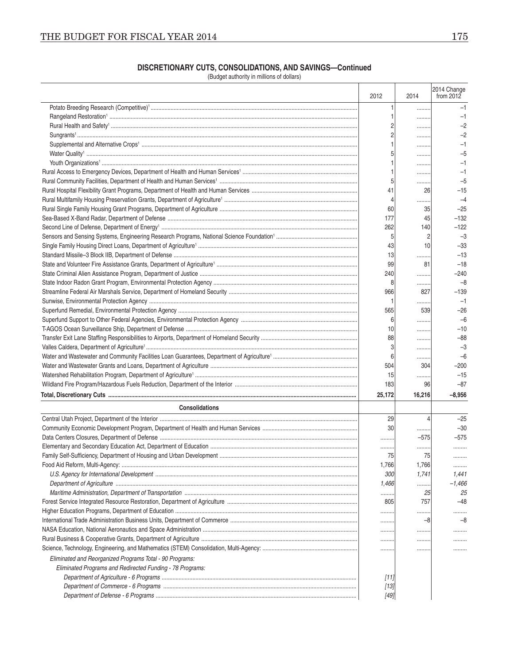| ı<br>۰.<br>.,<br>. . |  |
|----------------------|--|
|                      |  |

## **Discretionary Cuts, Consolidations, and Savings—Continued**

(Budget authority in millions of dollars)

|                                                           | 2012            | 2014   | 2014 Change<br>from $2012$ |
|-----------------------------------------------------------|-----------------|--------|----------------------------|
|                                                           |                 |        | $-1$                       |
|                                                           |                 |        | $-1$                       |
|                                                           |                 | .      | $-2$                       |
|                                                           |                 | .      | $-2$                       |
|                                                           |                 |        | $-1$                       |
|                                                           |                 | .      | $-5$                       |
|                                                           |                 | .      | $-1$                       |
|                                                           |                 |        | $-1$                       |
|                                                           |                 | .      | $-5$                       |
|                                                           | 41              | 26     | $-15$                      |
|                                                           | 4               | .      | $-4$                       |
|                                                           | 60              | 35     | $-25$                      |
|                                                           | 177             | 45     | $-132$                     |
|                                                           | 262             | 140    | $-122$                     |
|                                                           | 5               | 2      | $-3$                       |
|                                                           | 43              | 10     | $-33$                      |
|                                                           | 13              | .      | $-13$                      |
|                                                           | 99              | 81     | $-18$                      |
|                                                           | 240             | .      | $-240$                     |
|                                                           | 8               | .      | $-8$                       |
|                                                           | 966             | 827    | $-139$                     |
|                                                           |                 | .      | $-1$                       |
|                                                           | 565             | 539    | $-26$                      |
|                                                           | 6               | .      | $-6$                       |
|                                                           | 10              | .      | $-10$                      |
|                                                           | 88              | .      | -88                        |
|                                                           | 3               | .      | $-3$                       |
|                                                           | 6               | .      | $-6$                       |
|                                                           | 504             | 304    | $-200$                     |
|                                                           | 15              | .      | $-15$                      |
|                                                           | 183             | 96     | $-87$                      |
|                                                           | 25,172          | 16,216 | $-8,956$                   |
| <b>Consolidations</b>                                     |                 |        |                            |
|                                                           | 29              | 4      | $-25$                      |
|                                                           | 30 <sup>°</sup> | .      | $-30$                      |
|                                                           |                 | $-575$ | $-575$                     |
|                                                           |                 |        | .                          |
|                                                           | 75              | 75     |                            |
|                                                           | 1,766           | 1,766  | .                          |
|                                                           | <i>300</i>      | 1,741  | 1,441                      |
|                                                           | 1,466           | .      | -1,466                     |
|                                                           | .               | 25     | 25                         |
|                                                           | 805             | 757    | -48                        |
|                                                           |                 | .      | .                          |
|                                                           |                 | -8     | -8                         |
|                                                           |                 | .      | .                          |
|                                                           |                 | .      | .                          |
|                                                           |                 | .      | .                          |
| Eliminated and Reorganized Programs Total - 90 Programs:  |                 |        |                            |
| Eliminated Programs and Redirected Funding - 78 Programs: |                 |        |                            |
|                                                           | [11]            |        |                            |
|                                                           | $[13]$          |        |                            |
|                                                           | $[49]$          |        |                            |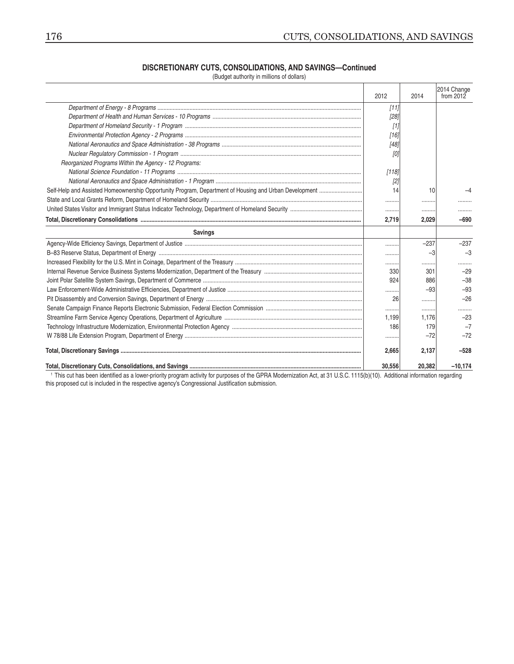#### DISCRETIONARY CUTS, CONSOLIDATIONS, AND SAVINGS-Continued

(Budget authority in millions of dollars)

|                                                                                                       | 2012   | 2014   | 2014 Change<br>from $2012$ |
|-------------------------------------------------------------------------------------------------------|--------|--------|----------------------------|
|                                                                                                       | [11]   |        |                            |
|                                                                                                       | [28]   |        |                            |
|                                                                                                       | $[1]$  |        |                            |
|                                                                                                       | [16]   |        |                            |
|                                                                                                       | [48]   |        |                            |
|                                                                                                       | [0]    |        |                            |
| Reorganized Programs Within the Agency - 12 Programs:                                                 |        |        |                            |
|                                                                                                       | [118]  |        |                            |
|                                                                                                       | [2]    |        |                            |
| Self-Help and Assisted Homeownership Opportunity Program, Department of Housing and Urban Development | 14     | 10     |                            |
|                                                                                                       |        | .      |                            |
|                                                                                                       |        |        | .                          |
|                                                                                                       | 2,719  | 2,029  | $-690$                     |
| <b>Savings</b>                                                                                        |        |        |                            |
|                                                                                                       |        | $-237$ | $-237$                     |
|                                                                                                       |        | -3     | $-3$                       |
|                                                                                                       |        | .      | .                          |
|                                                                                                       | 330    | 301    | $-29$                      |
|                                                                                                       | 924    | 886    | $-38$                      |
|                                                                                                       |        | $-93$  | $-93$                      |
|                                                                                                       | 26     | .      | $-26$                      |
|                                                                                                       |        | .      | .                          |
|                                                                                                       | 1,199  | 1.176  | $-23$                      |
|                                                                                                       | 186    | 179    | $-7$                       |
|                                                                                                       |        | $-72$  | $-72$                      |
|                                                                                                       | 2,665  | 2,137  | $-528$                     |
|                                                                                                       | 30.556 | 20.382 | $-10.174$                  |

<sup>1</sup> This cut has been identified as a lower-priority program activity for purposes of the GPRA Modernization Act, at 31 U.S.C. 1115(b)(10). Additional information regarding this proposed cut is included in the respective agency's Congressional Justification submission.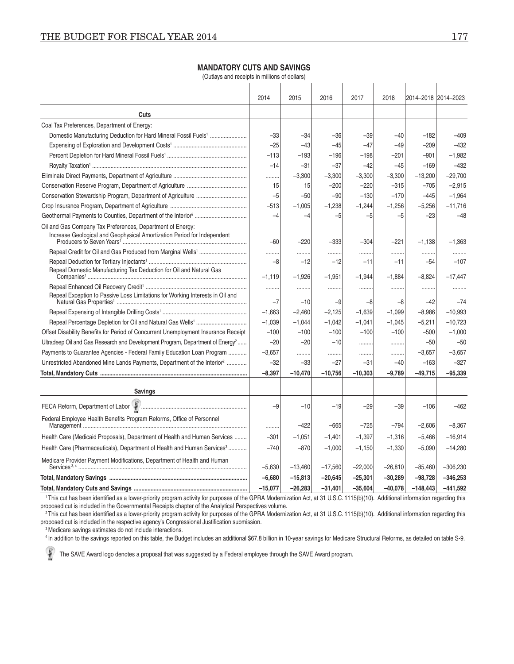### **MANDATORY CUTS AND SAVINGS**

(Outlays and receipts in millions of dollars)

|                                                                                                                                       | 2014      | 2015       | 2016       | 2017       | 2018      |           | 2014-2018 2014-2023 |
|---------------------------------------------------------------------------------------------------------------------------------------|-----------|------------|------------|------------|-----------|-----------|---------------------|
| Cuts                                                                                                                                  |           |            |            |            |           |           |                     |
| Coal Tax Preferences, Department of Energy:                                                                                           |           |            |            |            |           |           |                     |
| Domestic Manufacturing Deduction for Hard Mineral Fossil Fuels <sup>1</sup>                                                           | $-33$     | $-34$      | $-36$      | $-39$      | $-40$     | $-182$    | $-409$              |
|                                                                                                                                       | $-25$     | $-43$      | $-45$      | $-47$      | $-49$     | $-209$    | $-432$              |
|                                                                                                                                       | $-113$    | $-193$     | $-196$     | $-198$     | $-201$    | $-901$    | $-1,982$            |
|                                                                                                                                       | $-14$     | $-31$      | $-37$      | $-42$      | $-45$     | $-169$    | $-432$              |
|                                                                                                                                       | .         | $-3,300$   | $-3,300$   | $-3,300$   | $-3,300$  | $-13,200$ | $-29,700$           |
|                                                                                                                                       | 15        | 15         | $-200$     | $-220$     | $-315$    | $-705$    | $-2,915$            |
|                                                                                                                                       | $-5$      | $-50$      | $-90$      | $-130$     | $-170$    | $-445$    | $-1,964$            |
|                                                                                                                                       | $-513$    | $-1,005$   | $-1,238$   | $-1,244$   | $-1,256$  | $-5,256$  | $-11,716$           |
|                                                                                                                                       | -4        | -4         | $-5$       | $-5$       | -5        | $-23$     | $-48$               |
| Oil and Gas Company Tax Preferences, Department of Energy:<br>Increase Geological and Geophysical Amortization Period for Independent | $-60$     | $-220$     | $-333$     | $-304$     | $-221$    | $-1,138$  | $-1,363$            |
|                                                                                                                                       |           |            |            |            |           |           |                     |
|                                                                                                                                       | -8        | .<br>$-12$ | .<br>$-12$ | .<br>$-11$ | -11       | $-54$     | <br>$-107$          |
| Repeal Domestic Manufacturing Tax Deduction for Oil and Natural Gas                                                                   | $-1,119$  | $-1,926$   | $-1,951$   | $-1,944$   | $-1,884$  | $-8,824$  | $-17,447$           |
|                                                                                                                                       |           |            |            |            |           |           |                     |
| Repeal Exception to Passive Loss Limitations for Working Interests in Oil and                                                         | $-7$      | $-10$      | $-9$       | -8         | -8        | $-42$     | $-74$               |
|                                                                                                                                       | $-1,663$  | $-2,460$   | $-2,125$   | $-1,639$   | $-1,099$  | $-8,986$  | $-10,993$           |
|                                                                                                                                       | $-1,039$  | $-1,044$   | $-1,042$   | $-1,041$   | $-1,045$  | $-5,211$  | $-10,723$           |
| Offset Disability Benefits for Period of Concurrent Unemployment Insurance Receipt                                                    | $-100$    | $-100$     | $-100$     | $-100$     | $-100$    | $-500$    | $-1,000$            |
| Ultradeep Oil and Gas Research and Development Program, Department of Energy <sup>2</sup>                                             | $-20$     | $-20$      | $-10$      |            | .         | $-50$     | $-50$               |
| Payments to Guarantee Agencies - Federal Family Education Loan Program                                                                | $-3,657$  | .          | .          | .          | .         | $-3,657$  | $-3,657$            |
| Unrestricted Abandoned Mine Lands Payments, Department of the Interior <sup>2</sup>                                                   | $-32$     | $-33$      | $-27$      | $-31$      | $-40$     | $-163$    | $-327$              |
|                                                                                                                                       | $-8.397$  | $-10,470$  | $-10,756$  | $-10,303$  | $-9,789$  | $-49,715$ | $-95,339$           |
| <b>Savings</b>                                                                                                                        |           |            |            |            |           |           |                     |
|                                                                                                                                       | $-9$      | $-10$      | $-19$      | $-29$      | $-39$     | $-106$    | $-462$              |
| Federal Employee Health Benefits Program Reforms, Office of Personnel                                                                 |           |            |            |            |           |           |                     |
|                                                                                                                                       | .         | $-422$     | $-665$     | $-725$     | $-794$    | $-2,606$  | $-8,367$            |
| Health Care (Medicaid Proposals), Department of Health and Human Services                                                             | $-301$    | $-1,051$   | $-1,401$   | $-1,397$   | $-1,316$  | $-5,466$  | $-16,914$           |
| Health Care (Pharmaceuticals), Department of Health and Human Services <sup>3</sup>                                                   | $-740$    | $-870$     | $-1,000$   | $-1,150$   | $-1,330$  | $-5,090$  | $-14,280$           |
| Medicare Provider Payment Modifications, Department of Health and Human                                                               | $-5,630$  | $-13,460$  | $-17,560$  | $-22,000$  | $-26,810$ | $-85,460$ | $-306,230$          |
|                                                                                                                                       | $-6,680$  | $-15,813$  | $-20,645$  | $-25,301$  | $-30,289$ | $-98,728$ | $-346,253$          |
| <b>Total Mandatory Cuts and Savings</b>                                                                                               | $-15.077$ | $-26283$   | $-31$ 401  | $-35604$   | $-40.078$ | $-148443$ | $-441592$           |

1This cut has been identified as a lower-priority program activity for purposes of the GPRA Modernization Act, at 31 U.S.C. 1115(b)(10). Additional information regarding this proposed cut is included in the Governmental Receipts chapter of the Analytical Perspectives volume.

<sup>2</sup>This cut has been identified as a lower-priority program activity for purposes of the GPRA Modernization Act, at 31 U.S.C. 1115(b)(10). Additional information regarding this proposed cut is included in the respective agency's Congressional Justification submission.

<sup>3</sup> Medicare savings estimates do not include interactions.

4 In addition to the savings reported on this table, the Budget includes an additional \$67.8 billion in 10-year savings for Medicare Structural Reforms, as detailed on table S-9.

1 The SAVE Award logo denotes a proposal that was suggested by a Federal employee through the SAVE Award program.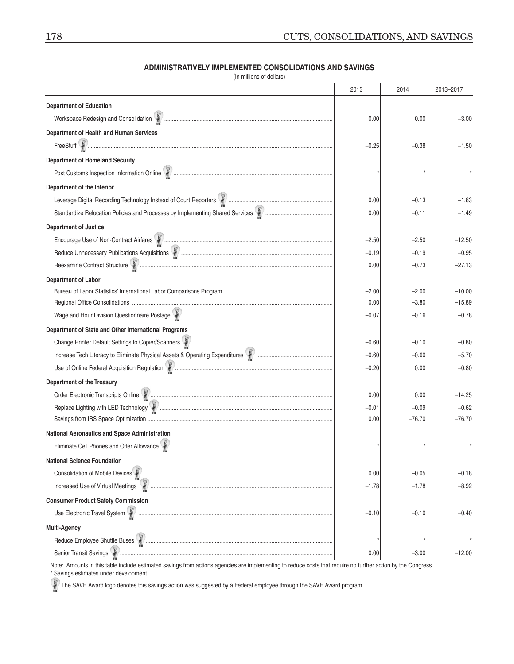|                                                                                                             | 2013    | 2014     | 2013-2017 |
|-------------------------------------------------------------------------------------------------------------|---------|----------|-----------|
| <b>Department of Education</b>                                                                              |         |          |           |
| Workspace Redesign and Consolidation \\\minimum manuscrimum manuscrimum manuscrimum manuscrimum manuscrimum | 0.00    | 0.00     | $-3.00$   |
| Department of Health and Human Services                                                                     |         |          |           |
|                                                                                                             | $-0.25$ | $-0.38$  | $-1.50$   |
| <b>Department of Homeland Security</b>                                                                      |         |          |           |
|                                                                                                             |         |          |           |
| Department of the Interior                                                                                  |         |          |           |
|                                                                                                             | 0.00    | $-0.13$  | $-1.63$   |
|                                                                                                             | 0.00    | $-0.11$  | $-1.49$   |
| <b>Department of Justice</b>                                                                                |         |          |           |
|                                                                                                             | $-2.50$ | $-2.50$  | $-12.50$  |
|                                                                                                             | $-0.19$ | $-0.19$  | $-0.95$   |
|                                                                                                             | 0.00    | $-0.73$  | $-27.13$  |
| <b>Department of Labor</b>                                                                                  |         |          |           |
|                                                                                                             | $-2.00$ | $-2.00$  | $-10.00$  |
|                                                                                                             | 0.00    | $-3.80$  | $-15.89$  |
|                                                                                                             | $-0.07$ | $-0.16$  | $-0.78$   |
| Department of State and Other International Programs                                                        |         |          |           |
|                                                                                                             | $-0.60$ | $-0.10$  | $-0.80$   |
|                                                                                                             | $-0.60$ | $-0.60$  | $-5.70$   |
|                                                                                                             | $-0.20$ | 0.00     | $-0.80$   |
| <b>Department of the Treasury</b>                                                                           |         |          |           |
|                                                                                                             | 0.00    | 0.00     | $-14.25$  |
|                                                                                                             | $-0.01$ | $-0.09$  | $-0.62$   |
|                                                                                                             | 0.00    | $-76.70$ | $-76.70$  |
| <b>National Aeronautics and Space Administration</b>                                                        |         |          |           |
|                                                                                                             |         |          |           |
| <b>National Science Foundation</b>                                                                          |         |          |           |
|                                                                                                             | 0.00    | $-0.05$  | $-0.18$   |
| Increased Use of Virtual Meetings                                                                           | $-1.78$ | $-1.78$  | $-8.92$   |
| <b>Consumer Product Safety Commission</b>                                                                   |         |          |           |
|                                                                                                             | $-0.10$ | $-0.10$  | $-0.40$   |
| <b>Multi-Agency</b>                                                                                         |         |          |           |
|                                                                                                             |         |          |           |
|                                                                                                             | 0.00    | $-3.00$  | $-12.00$  |

#### **ADMINISTRATIVELY IMPLEMENTED CONSOLIDATIONS AND SAVINGS** (in millions of dollars)

Note: Amounts in this table include estimated savings from actions agencies are implementing to reduce costs that require no further action by the Congress. \* Savings estimates under development.

The SAVE Award logo denotes this savings action was suggested by a Federal employee through the SAVE Award program.